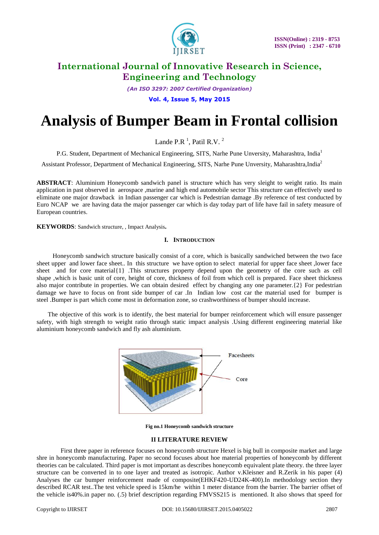

*(An ISO 3297: 2007 Certified Organization)* **Vol. 4, Issue 5, May 2015**

# **Analysis of Bumper Beam in Frontal collision**

Lande P.R $<sup>1</sup>$ , Patil R.V.  $<sup>2</sup>$ </sup></sup>

P.G. Student, Department of Mechanical Engineering, SITS, Narhe Pune Unversity, Maharashtra, India<sup>1</sup>

Assistant Professor, Department of Mechanical Engineering, SITS, Narhe Pune Unversity, Maharashtra,India<sup>2</sup>

**ABSTRACT**: Aluminium Honeycomb sandwich panel is structure which has very sleight to weight ratio. Its main application in past observed in aerospace ,marine and high end automobile sector This structure can effectively used to eliminate one major drawback in Indian passenger car which is Pedestrian damage .By reference of test conducted by Euro NCAP we are having data the major passenger car which is day today part of life have fail in safety measure of European countries.

**KEYWORDS**: Sandwich structure, , Impact Analysis**.**

### **I. INTRODUCTION**

 Honeycomb sandwich structure basically consist of a core, which is basically sandwiched between the two face sheet upper and lower face sheet.. In this structure we have option to select material for upper face sheet ,lower face sheet and for core material{1} .This structures property depend upon the geometry of the core such as cell shape ,which is basic unit of core, height of core, thickness of foil from which cell is prepared. Face sheet thickness also major contribute in properties. We can obtain desired effect by changing any one parameter.{2} For pedestrian damage we have to focus on front side bumper of car .In Indian low cost car the material used for bumper is steel .Bumper is part which come most in deformation zone, so crashworthiness of bumper should increase.

 The objective of this work is to identify, the best material for bumper reinforcement which will ensure passenger safety, with high strength to weight ratio through static impact analysis .Using different engineering material like aluminium honeycomb sandwich and fly ash aluminium.



**Fig no.1 Honeycomb sandwich structure**

#### **II LITERATURE REVIEW**

 First three paper in reference focuses on honeycomb structure Hexel is big bull in composite market and large shre in honeycomb manufacturing. Paper no second focuses about hoe material properties of honeycomb by different theories can be calculated. Third paper is mot important as describes honeycomb equivalent plate theory. the three layer structure can be converted in to one layer and treated as isotropic. Author v.Kleisner and R.Zerik in his paper (4) Analyses the car bumper reinforcement made of composite(EHKF420-UD24K-400).In methodology section they described RCAR test..The test vehicle speed is 15km/he within 1 meter distance from the barrier. The barrier offset of the vehicle is40%.in paper no. (.5) brief description regarding FMVSS215 is mentioned. It also shows that speed for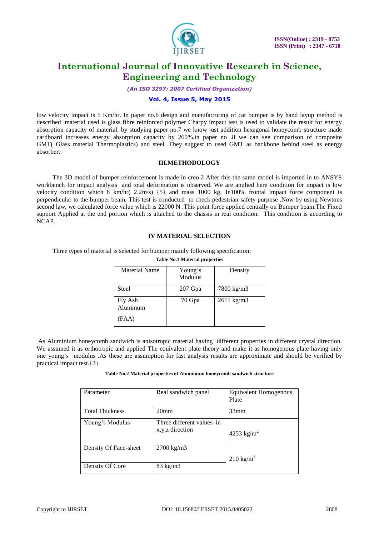

*(An ISO 3297: 2007 Certified Organization)*

## **Vol. 4, Issue 5, May 2015**

low velocity impact is 5 Km/hr. In paper no.6 design and manufacturing of car bumper is by hand layup method is described .material used is glass fibre reinforced polymer Charpy impact test is used to validate the result for energy absorption capacity of material. by studying paper no.7 we know just addition hexagonal honeycomb structure made cardboard increases energy absorption capacity by 260%.in paper no .8 we can see comparison of composite GMT( Glass material Thermoplastics) and steel .They suggest to used GMT as backbone behind steel as energy absorber.

### **III.METHODOLOGY**

 The 3D model of bumper reinforcement is made in creo.2 After this the same model is imported in to ANSYS workbench for impact analysis and total deformation is observed. We are applied here condition for impact is low velocity condition which 8 km/hr( 2.2m/s) {5} and mass 1000 kg. In100% frontal impact force component is perpendicular to the bumper beam. This test is conducted to check pedestrian safety purpose .Now by using Newtons second law, we calculated force value which is 22000 N .This point force applied centrally on Bumper beam.The Fixed support Applied at the end portion which is attached to the chassis in real condition. This condition is according to NCAP..

### **IV MATERIAL SELECTION**

Three types of material is selected for bumper mainly following specification:

| <b>Table No.1 Material properties</b> |                    |                       |  |  |  |
|---------------------------------------|--------------------|-----------------------|--|--|--|
| Material Name                         | Young's<br>Modulus | Density               |  |  |  |
| Steel                                 | $207$ Gpa          | 7800 kg/m3            |  |  |  |
| Fly Ash<br>Aluminum<br>(FAA)          | 70 Gpa             | $2611 \text{ kg/m}$ 3 |  |  |  |
|                                       |                    |                       |  |  |  |

As Aluminium honeycomb sandwich is anisotropic material having different properties in different crystal direction. We assumed it as orthotropic and applied The equivalent plate theory and make it as homogenous plate having only one young's modulus .As these are assumption for fast analysis results are approximate and should be verified by practical impact test.{3}

**Table No.2 Material properties of Aluminium honeycomb sandwich structure**

| Parameter              | Real sandwich panel                            | Equivalent Homogenous<br>Plate |
|------------------------|------------------------------------------------|--------------------------------|
| <b>Total Thickness</b> | 20 <sub>mm</sub>                               | 33mm                           |
| Young's Modulus        | Three different values in<br>x, y, z direction | 4253 kg/m <sup>2</sup>         |
| Density Of Face-sheet  | $2700 \text{ kg/m}$ 3                          | $210 \text{ kg/m}^3$           |
| Density Of Core        | $83 \text{ kg/m}$ 3                            |                                |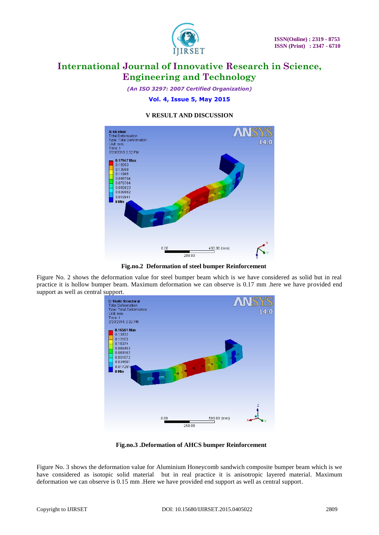

*(An ISO 3297: 2007 Certified Organization)* **Vol. 4, Issue 5, May 2015**

## **V RESULT AND DISCUSSION**



 **Fig.no.2 Deformation of steel bumper Reinforcement**

Figure No. 2 shows the deformation value for steel bumper beam which is we have considered as solid but in real practice it is hollow bumper beam. Maximum deformation we can observe is 0.17 mm .here we have provided end support as well as central support.



**Fig.no.3 .Deformation of AHCS bumper Reinforcement**

Figure No. 3 shows the deformation value for Aluminium Honeycomb sandwich composite bumper beam which is we have considered as isotopic solid material but in real practice it is anisotropic layered material. Maximum deformation we can observe is 0.15 mm .Here we have provided end support as well as central support.